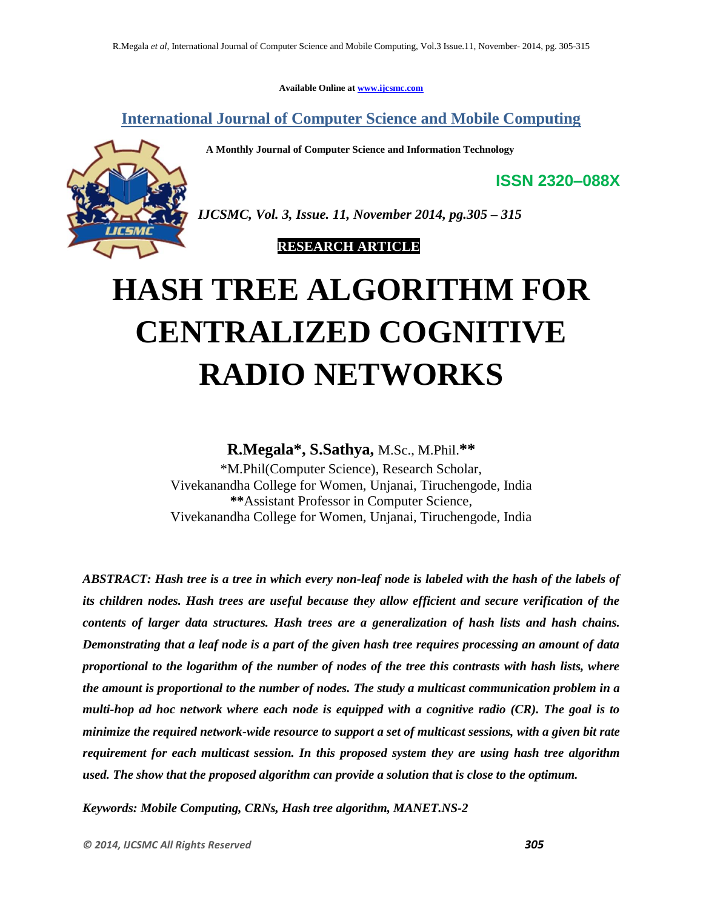**Available Online at www.ijcsmc.com**

**International Journal of Computer Science and Mobile Computing**

 **A Monthly Journal of Computer Science and Information Technology**



*IJCSMC, Vol. 3, Issue. 11, November 2014, pg.305 – 315*

 **RESEARCH ARTICLE**

# **HASH TREE ALGORITHM FOR CENTRALIZED COGNITIVE RADIO NETWORKS**

**R.Megala\* , S.Sathya,** M.Sc., M.Phil.**\*\***

\*M.Phil(Computer Science), Research Scholar, Vivekanandha College for Women, Unjanai, Tiruchengode, India **\*\***Assistant Professor in Computer Science, Vivekanandha College for Women, Unjanai, Tiruchengode, India

*ABSTRACT: Hash tree is a tree in which every non-leaf node is labeled with the hash of the labels of its children nodes. Hash trees are useful because they allow efficient and secure verification of the contents of larger data structures. Hash trees are a generalization of hash lists and hash chains. Demonstrating that a leaf node is a part of the given hash tree requires processing an amount of data proportional to the logarithm of the number of nodes of the tree this contrasts with hash lists, where the amount is proportional to the number of nodes. The study a multicast communication problem in a multi-hop ad hoc network where each node is equipped with a cognitive radio (CR). The goal is to minimize the required network-wide resource to support a set of multicast sessions, with a given bit rate requirement for each multicast session. In this proposed system they are using hash tree algorithm used. The show that the proposed algorithm can provide a solution that is close to the optimum.*

*Keywords: Mobile Computing, CRNs, Hash tree algorithm, MANET.NS-2*

**ISSN 2320–088X**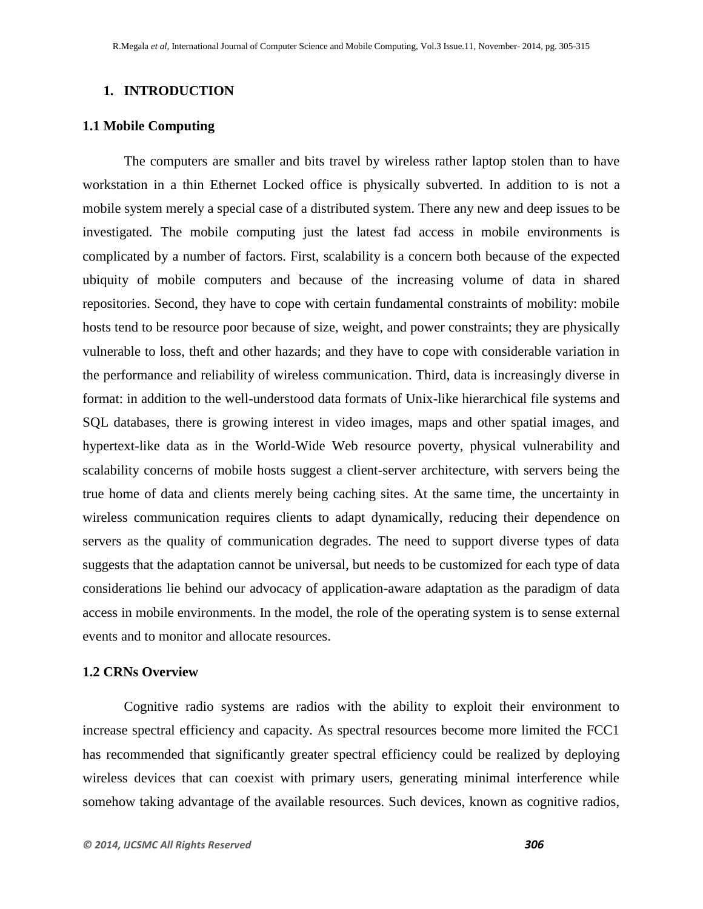# **1. INTRODUCTION**

## **1.1 Mobile Computing**

The computers are smaller and bits travel by wireless rather laptop stolen than to have workstation in a thin Ethernet Locked office is physically subverted. In addition to is not a mobile system merely a special case of a distributed system. There any new and deep issues to be investigated. The mobile computing just the latest fad access in mobile environments is complicated by a number of factors. First, scalability is a concern both because of the expected ubiquity of mobile computers and because of the increasing volume of data in shared repositories. Second, they have to cope with certain fundamental constraints of mobility: mobile hosts tend to be resource poor because of size, weight, and power constraints; they are physically vulnerable to loss, theft and other hazards; and they have to cope with considerable variation in the performance and reliability of wireless communication. Third, data is increasingly diverse in format: in addition to the well-understood data formats of Unix-like hierarchical file systems and SQL databases, there is growing interest in video images, maps and other spatial images, and hypertext-like data as in the World-Wide Web resource poverty, physical vulnerability and scalability concerns of mobile hosts suggest a client-server architecture, with servers being the true home of data and clients merely being caching sites. At the same time, the uncertainty in wireless communication requires clients to adapt dynamically, reducing their dependence on servers as the quality of communication degrades. The need to support diverse types of data suggests that the adaptation cannot be universal, but needs to be customized for each type of data considerations lie behind our advocacy of application-aware adaptation as the paradigm of data access in mobile environments. In the model, the role of the operating system is to sense external events and to monitor and allocate resources.

## **1.2 CRNs Overview**

Cognitive radio systems are radios with the ability to exploit their environment to increase spectral efficiency and capacity. As spectral resources become more limited the FCC1 has recommended that significantly greater spectral efficiency could be realized by deploying wireless devices that can coexist with primary users, generating minimal interference while somehow taking advantage of the available resources. Such devices, known as cognitive radios,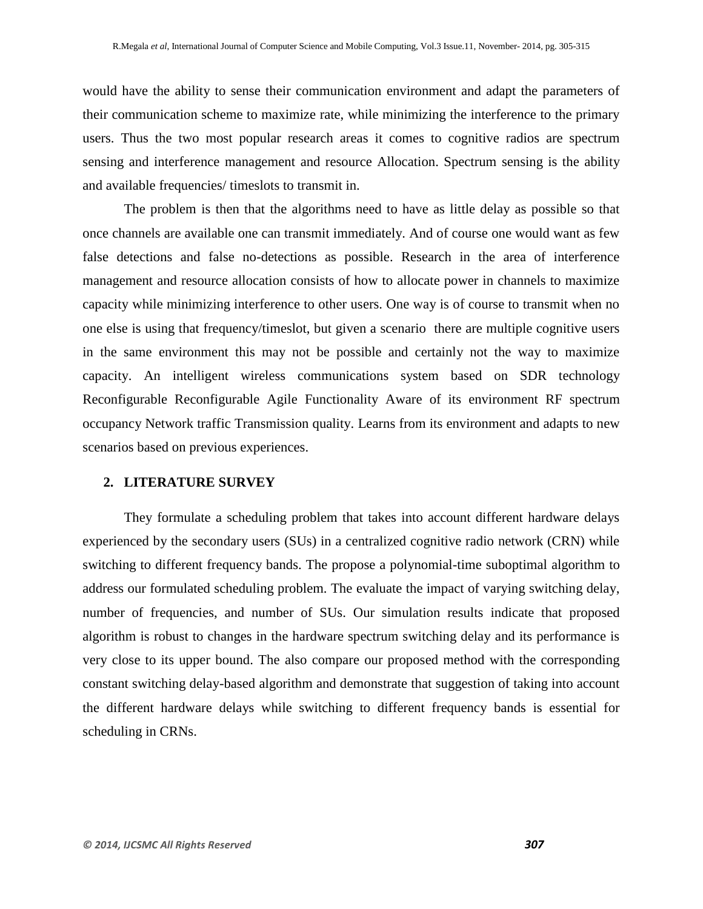would have the ability to sense their communication environment and adapt the parameters of their communication scheme to maximize rate, while minimizing the interference to the primary users. Thus the two most popular research areas it comes to cognitive radios are spectrum sensing and interference management and resource Allocation. Spectrum sensing is the ability and available frequencies/ timeslots to transmit in.

The problem is then that the algorithms need to have as little delay as possible so that once channels are available one can transmit immediately. And of course one would want as few false detections and false no-detections as possible. Research in the area of interference management and resource allocation consists of how to allocate power in channels to maximize capacity while minimizing interference to other users. One way is of course to transmit when no one else is using that frequency/timeslot, but given a scenario there are multiple cognitive users in the same environment this may not be possible and certainly not the way to maximize capacity. An intelligent wireless communications system based on SDR technology Reconfigurable Reconfigurable Agile Functionality Aware of its environment RF spectrum occupancy Network traffic Transmission quality. Learns from its environment and adapts to new scenarios based on previous experiences.

### **2. LITERATURE SURVEY**

They formulate a scheduling problem that takes into account different hardware delays experienced by the secondary users (SUs) in a centralized cognitive radio network (CRN) while switching to different frequency bands. The propose a polynomial-time suboptimal algorithm to address our formulated scheduling problem. The evaluate the impact of varying switching delay, number of frequencies, and number of SUs. Our simulation results indicate that proposed algorithm is robust to changes in the hardware spectrum switching delay and its performance is very close to its upper bound. The also compare our proposed method with the corresponding constant switching delay-based algorithm and demonstrate that suggestion of taking into account the different hardware delays while switching to different frequency bands is essential for scheduling in CRNs.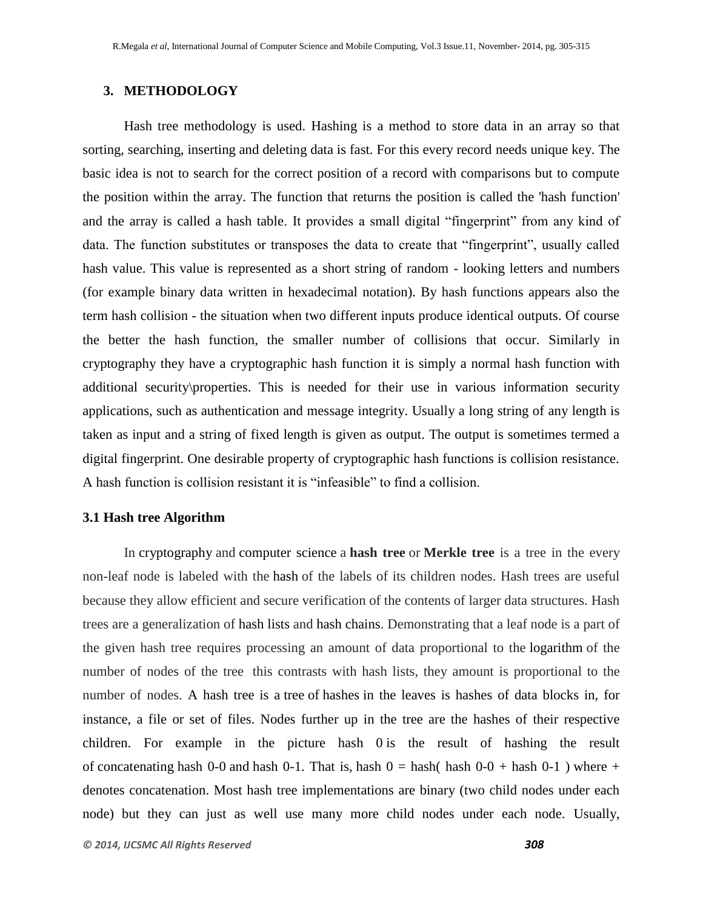# **3. METHODOLOGY**

Hash tree methodology is used. Hashing is a method to store data in an array so that sorting, searching, inserting and deleting data is fast. For this every record needs unique key. The basic idea is not to search for the correct position of a record with comparisons but to compute the position within the array. The function that returns the position is called the 'hash function' and the array is called a hash table. It provides a small digital "fingerprint" from any kind of data. The function substitutes or transposes the data to create that "fingerprint", usually called hash value. This value is represented as a short string of random - looking letters and numbers (for example binary data written in hexadecimal notation). By hash functions appears also the term hash collision - the situation when two different inputs produce identical outputs. Of course the better the hash function, the smaller number of collisions that occur. Similarly in cryptography they have a cryptographic hash function it is simply a normal hash function with additional security\properties. This is needed for their use in various information security applications, such as authentication and message integrity. Usually a long string of any length is taken as input and a string of fixed length is given as output. The output is sometimes termed a digital fingerprint. One desirable property of cryptographic hash functions is collision resistance. A hash function is collision resistant it is "infeasible" to find a collision.

## **3.1 Hash tree Algorithm**

In cryptography and computer science a **hash tree** or **Merkle tree** is a tree in the every non-leaf node is labeled with the hash of the labels of its children nodes. Hash trees are useful because they allow efficient and secure verification of the contents of larger data structures. Hash trees are a generalization of hash lists and hash chains. Demonstrating that a leaf node is a part of the given hash tree requires processing an amount of data proportional to the logarithm of the number of nodes of the tree this contrasts with hash lists, they amount is proportional to the number of nodes. A hash tree is a tree of hashes in the leaves is hashes of data blocks in, for instance, a file or set of files. Nodes further up in the tree are the hashes of their respective children. For example in the picture hash 0 is the result of hashing the result of concatenating hash 0-0 and hash 0-1. That is, hash  $0 =$  hash  $(0.0 +$  hash  $(0.0 +)$  where + denotes concatenation. Most hash tree implementations are binary (two child nodes under each node) but they can just as well use many more child nodes under each node. Usually,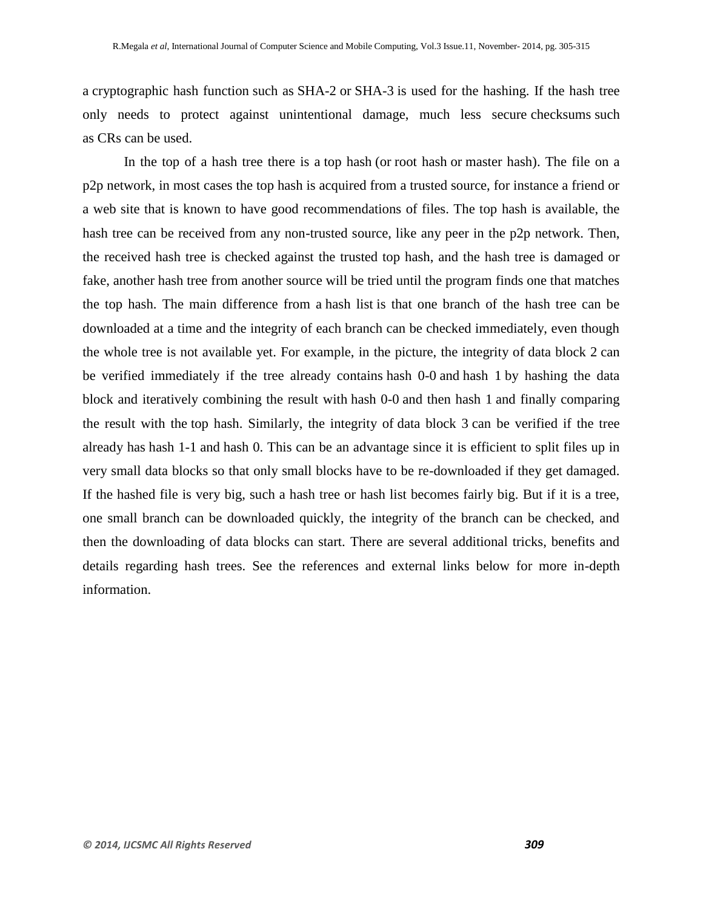a cryptographic hash function such as SHA-2 or SHA-3 is used for the hashing. If the hash tree only needs to protect against unintentional damage, much less secure checksums such as CRs can be used.

In the top of a hash tree there is a top hash (or root hash or master hash). The file on a p2p network, in most cases the top hash is acquired from a trusted source, for instance a friend or a web site that is known to have good recommendations of files. The top hash is available, the hash tree can be received from any non-trusted source, like any peer in the p2p network. Then, the received hash tree is checked against the trusted top hash, and the hash tree is damaged or fake, another hash tree from another source will be tried until the program finds one that matches the top hash. The main difference from a hash list is that one branch of the hash tree can be downloaded at a time and the integrity of each branch can be checked immediately, even though the whole tree is not available yet. For example, in the picture, the integrity of data block 2 can be verified immediately if the tree already contains hash 0-0 and hash 1 by hashing the data block and iteratively combining the result with hash 0-0 and then hash 1 and finally comparing the result with the top hash. Similarly, the integrity of data block 3 can be verified if the tree already has hash 1-1 and hash 0. This can be an advantage since it is efficient to split files up in very small data blocks so that only small blocks have to be re-downloaded if they get damaged. If the hashed file is very big, such a hash tree or hash list becomes fairly big. But if it is a tree, one small branch can be downloaded quickly, the integrity of the branch can be checked, and then the downloading of data blocks can start. There are several additional tricks, benefits and details regarding hash trees. See the references and external links below for more in-depth information.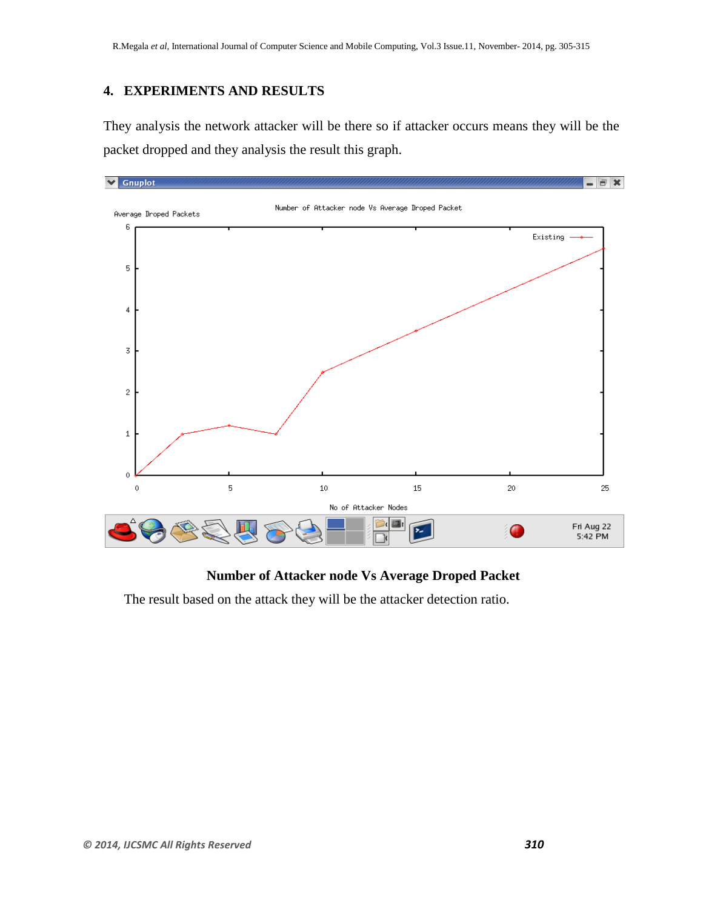# **4. EXPERIMENTS AND RESULTS**

They analysis the network attacker will be there so if attacker occurs means they will be the packet dropped and they analysis the result this graph.



# **Number of Attacker node Vs Average Droped Packet**

The result based on the attack they will be the attacker detection ratio.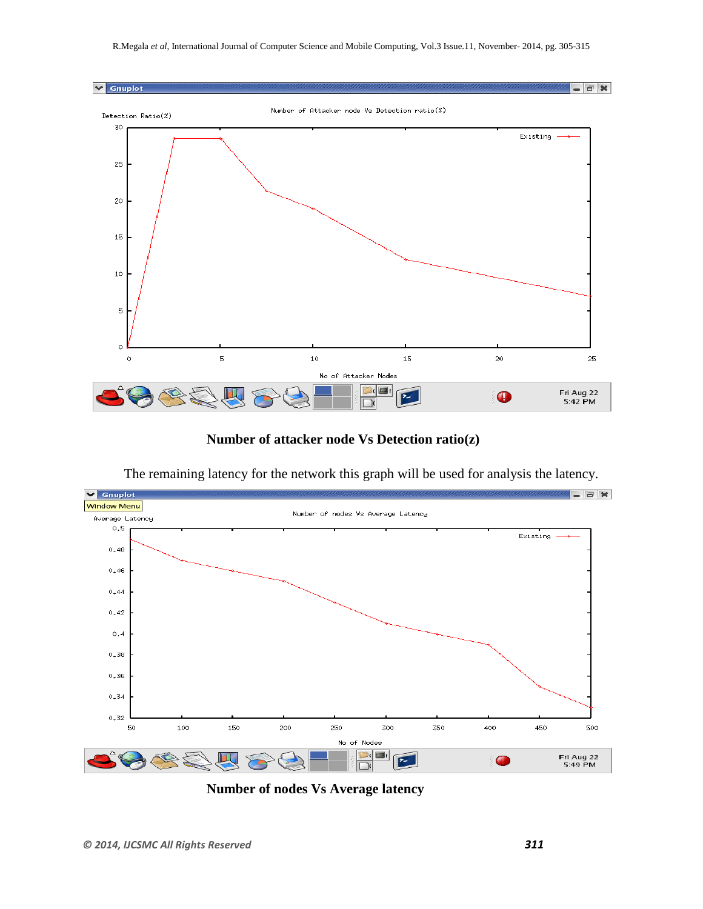

**Number of attacker node Vs Detection ratio(z)**

The remaining latency for the network this graph will be used for analysis the latency.



**Number of nodes Vs Average latency**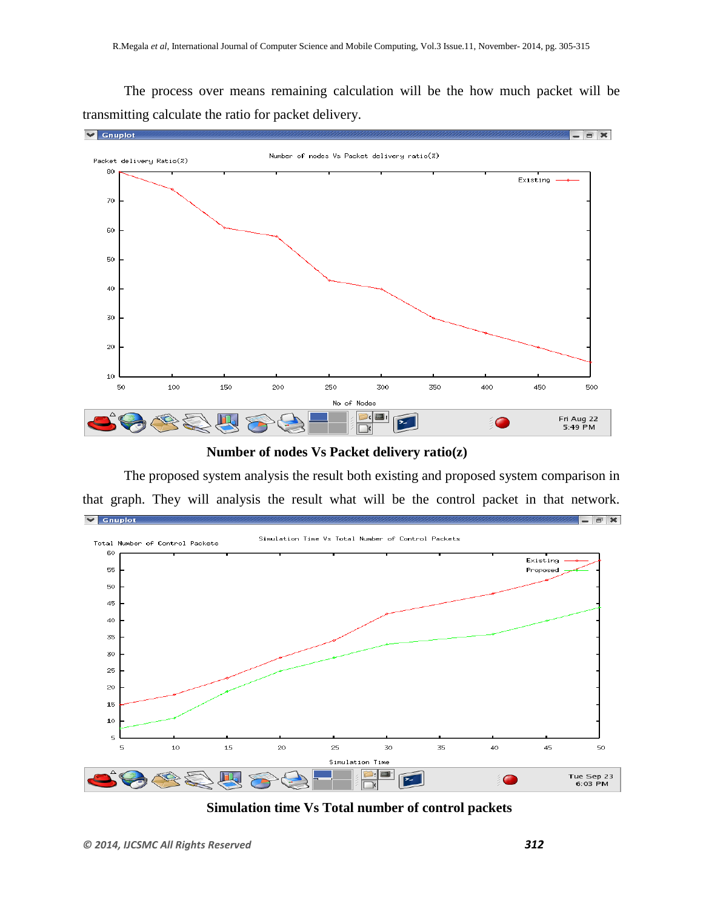The process over means remaining calculation will be the how much packet will be transmitting calculate the ratio for packet delivery.



**Number of nodes Vs Packet delivery ratio(z)**

The proposed system analysis the result both existing and proposed system comparison in that graph. They will analysis the result what will be the control packet in that network.  $\triangledown$  Gnuplot  $\overline{a}$   $\times$ 



**Simulation time Vs Total number of control packets**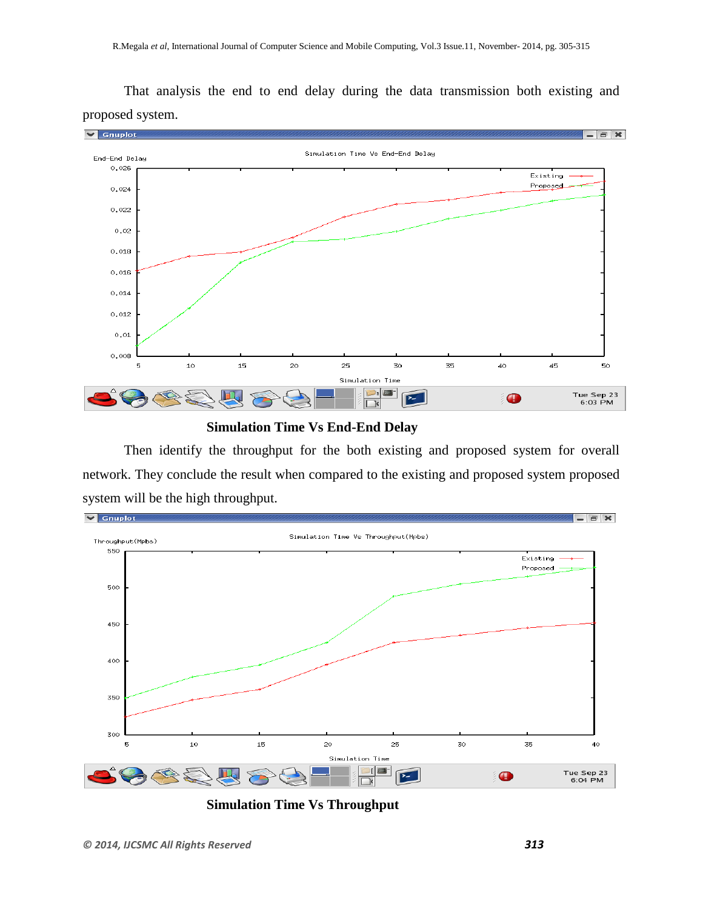$\blacktriangleright$  Gnuplot  $=$   $=$   $\times$ Simulation Time Vs End-End Delay End-End Delay  $0,026$ .<br>Existing **Proposed** 0.024  $0,022$  $0,02$  $0,018$  $0,016$  $0,014$  $0,012$  $0,01$ 0,008 5  $10$ 15 20 25 30 35 40  $\bf 45$ 50 Simulation Time ⊃:| œ. Tue Sep 23<br>6:03 PM  $\bullet$  $\mathbb{Z}$  $\Box$ 

That analysis the end to end delay during the data transmission both existing and proposed system.

## **Simulation Time Vs End-End Delay**

Then identify the throughput for the both existing and proposed system for overall network. They conclude the result when compared to the existing and proposed system proposed system will be the high throughput.



**Simulation Time Vs Throughput**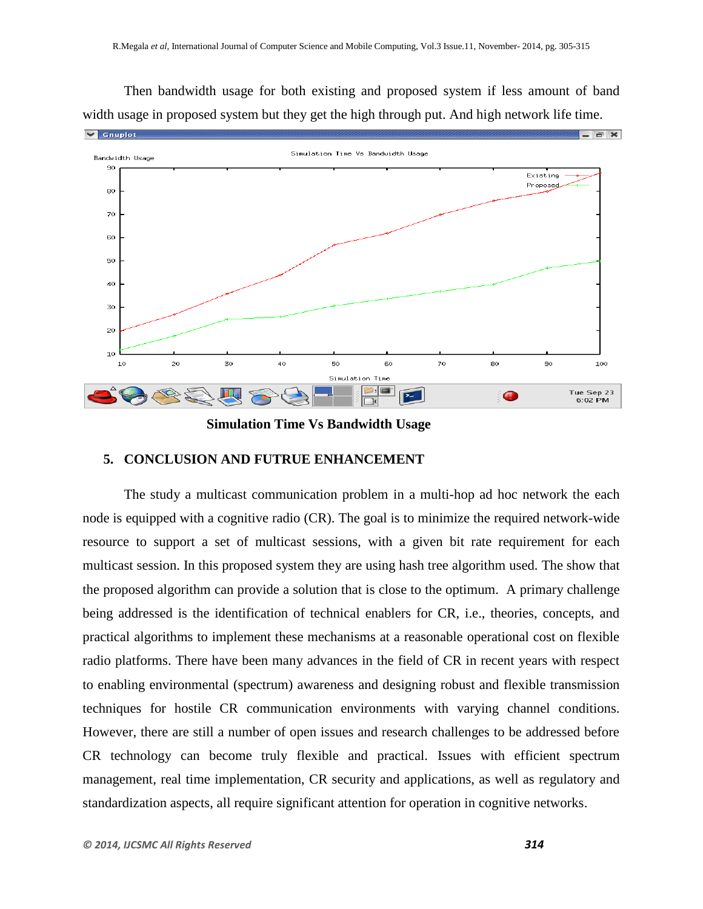Then bandwidth usage for both existing and proposed system if less amount of band width usage in proposed system but they get the high through put. And high network life time.



# **Simulation Time Vs Bandwidth Usage**

## **5. CONCLUSION AND FUTRUE ENHANCEMENT**

The study a multicast communication problem in a multi-hop ad hoc network the each node is equipped with a cognitive radio (CR). The goal is to minimize the required network-wide resource to support a set of multicast sessions, with a given bit rate requirement for each multicast session. In this proposed system they are using hash tree algorithm used. The show that the proposed algorithm can provide a solution that is close to the optimum. A primary challenge being addressed is the identification of technical enablers for CR, i.e., theories, concepts, and practical algorithms to implement these mechanisms at a reasonable operational cost on flexible radio platforms. There have been many advances in the field of CR in recent years with respect to enabling environmental (spectrum) awareness and designing robust and flexible transmission techniques for hostile CR communication environments with varying channel conditions. However, there are still a number of open issues and research challenges to be addressed before CR technology can become truly flexible and practical. Issues with efficient spectrum management, real time implementation, CR security and applications, as well as regulatory and standardization aspects, all require significant attention for operation in cognitive networks.